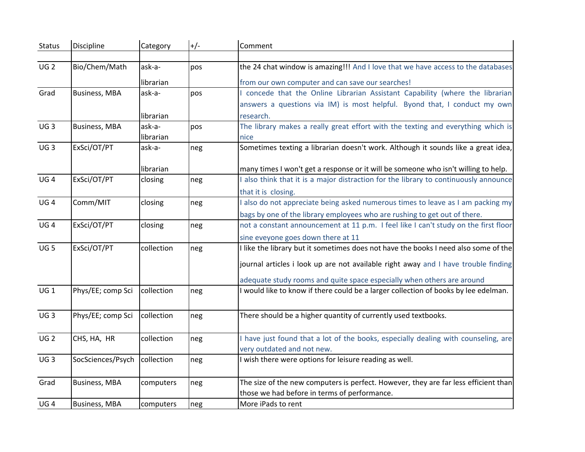| <b>Status</b>   | Discipline           | Category             | $+/-$ | Comment                                                                                                                                                                    |
|-----------------|----------------------|----------------------|-------|----------------------------------------------------------------------------------------------------------------------------------------------------------------------------|
|                 |                      |                      |       |                                                                                                                                                                            |
| UG <sub>2</sub> | Bio/Chem/Math        | ask-a-               | pos   | the 24 chat window is amazing!!! And I love that we have access to the databases                                                                                           |
|                 |                      | librarian            |       | from our own computer and can save our searches!                                                                                                                           |
| Grad            | <b>Business, MBA</b> | ask-a-               | pos   | I concede that the Online Librarian Assistant Capability (where the librarian                                                                                              |
|                 |                      |                      |       | answers a questions via IM) is most helpful. Byond that, I conduct my own                                                                                                  |
|                 |                      | librarian            |       | research.                                                                                                                                                                  |
| UG <sub>3</sub> | <b>Business, MBA</b> | ask-a-               | pos   | The library makes a really great effort with the texting and everything which is                                                                                           |
|                 |                      | librarian            |       | nice                                                                                                                                                                       |
| UG <sub>3</sub> | ExSci/OT/PT          | ask-a-               | neg   | Sometimes texting a librarian doesn't work. Although it sounds like a great idea,                                                                                          |
|                 |                      |                      |       |                                                                                                                                                                            |
| UG <sub>4</sub> | ExSci/OT/PT          | librarian<br>closing | neg   | many times I won't get a response or it will be someone who isn't willing to help.<br>I also think that it is a major distraction for the library to continuously announce |
|                 |                      |                      |       |                                                                                                                                                                            |
| UG <sub>4</sub> | Comm/MIT             | closing              |       | that it is closing.<br>I also do not appreciate being asked numerous times to leave as I am packing my                                                                     |
|                 |                      |                      | neg   |                                                                                                                                                                            |
| UG <sub>4</sub> | ExSci/OT/PT          |                      |       | bags by one of the library employees who are rushing to get out of there.<br>not a constant announcement at 11 p.m. I feel like I can't study on the first floor           |
|                 |                      | closing              | neg   |                                                                                                                                                                            |
|                 |                      |                      |       | sine eveyone goes down there at 11                                                                                                                                         |
| UG <sub>5</sub> | ExSci/OT/PT          | collection           | neg   | I like the library but it sometimes does not have the books I need also some of the                                                                                        |
|                 |                      |                      |       | journal articles i look up are not available right away and I have trouble finding                                                                                         |
|                 |                      |                      |       | adequate study rooms and quite space especially when others are around                                                                                                     |
| UG1             | Phys/EE; comp Sci    | collection           | neg   | I would like to know if there could be a larger collection of books by lee edelman.                                                                                        |
|                 |                      |                      |       |                                                                                                                                                                            |
| UG <sub>3</sub> | Phys/EE; comp Sci    | collection           | neg   | There should be a higher quantity of currently used textbooks.                                                                                                             |
|                 |                      |                      |       |                                                                                                                                                                            |
| <b>UG2</b>      | CHS, HA, HR          | collection           | neg   | I have just found that a lot of the books, especially dealing with counseling, are                                                                                         |
|                 |                      |                      |       | very outdated and not new.                                                                                                                                                 |
| UG <sub>3</sub> | SocSciences/Psych    | collection           | neg   | I wish there were options for leisure reading as well.                                                                                                                     |
|                 |                      |                      |       |                                                                                                                                                                            |
| Grad            | <b>Business, MBA</b> | computers            | neg   | The size of the new computers is perfect. However, they are far less efficient than                                                                                        |
|                 |                      |                      |       | those we had before in terms of performance.                                                                                                                               |
| UG <sub>4</sub> | <b>Business, MBA</b> | computers            | neg   | More iPads to rent                                                                                                                                                         |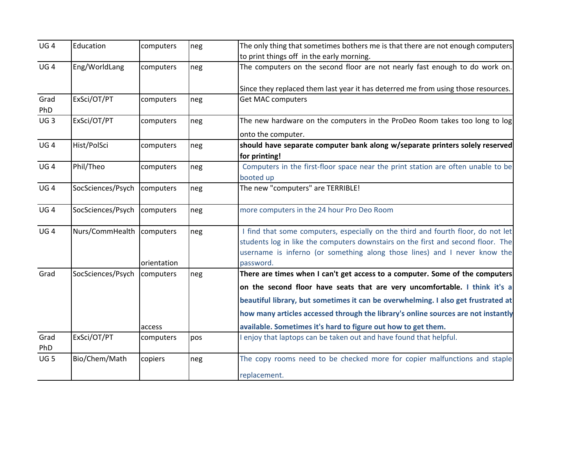| UG <sub>4</sub> | Education                   | computers   | neg | The only thing that sometimes bothers me is that there are not enough computers   |
|-----------------|-----------------------------|-------------|-----|-----------------------------------------------------------------------------------|
|                 |                             |             |     | to print things off in the early morning.                                         |
| UG <sub>4</sub> | Eng/WorldLang               | computers   | neg | The computers on the second floor are not nearly fast enough to do work on.       |
|                 |                             |             |     | Since they replaced them last year it has deterred me from using those resources. |
| Grad<br>PhD     | ExSci/OT/PT                 | computers   | neg | <b>Get MAC computers</b>                                                          |
| UG <sub>3</sub> | ExSci/OT/PT                 | computers   | neg | The new hardware on the computers in the ProDeo Room takes too long to $log$      |
|                 |                             |             |     | onto the computer.                                                                |
| UG <sub>4</sub> | Hist/PolSci                 | computers   | neg | should have separate computer bank along w/separate printers solely reserved      |
|                 |                             |             |     | for printing!                                                                     |
| UG <sub>4</sub> | Phil/Theo                   | computers   | neg | Computers in the first-floor space near the print station are often unable to be  |
|                 |                             |             |     | booted up                                                                         |
| UG <sub>4</sub> | SocSciences/Psych           | computers   | neg | The new "computers" are TERRIBLE!                                                 |
| UG4             | SocSciences/Psych           | computers   | neg | more computers in the 24 hour Pro Deo Room                                        |
| UG4             | Nurs/CommHealth   computers |             | neg | I find that some computers, especially on the third and fourth floor, do not let  |
|                 |                             |             |     | students log in like the computers downstairs on the first and second floor. The  |
|                 |                             |             |     | username is inferno (or something along those lines) and I never know the         |
|                 |                             | orientation |     | password.                                                                         |
| Grad            | SocSciences/Psych           | computers   | neg | There are times when I can't get access to a computer. Some of the computers      |
|                 |                             |             |     | on the second floor have seats that are very uncomfortable. I think it's a        |
|                 |                             |             |     | beautiful library, but sometimes it can be overwhelming. I also get frustrated at |
|                 |                             |             |     | how many articles accessed through the library's online sources are not instantly |
|                 |                             | access      |     | available. Sometimes it's hard to figure out how to get them.                     |
| Grad<br>PhD     | ExSci/OT/PT                 | computers   | pos | I enjoy that laptops can be taken out and have found that helpful.                |
| UG <sub>5</sub> | Bio/Chem/Math               | copiers     | neg | The copy rooms need to be checked more for copier malfunctions and staple         |
|                 |                             |             |     | replacement.                                                                      |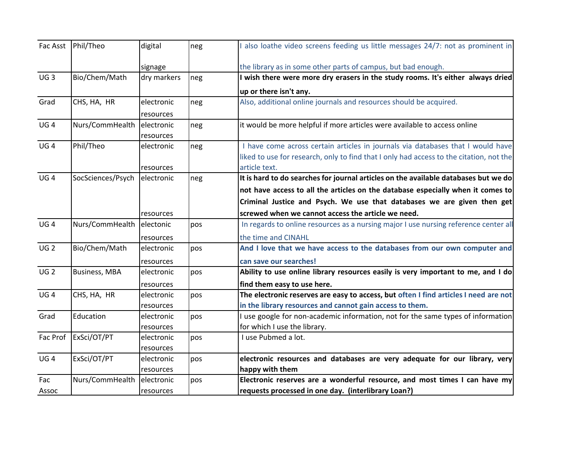|                 | Fac Asst Phil/Theo         | digital     | neg | also loathe video screens feeding us little messages 24/7: not as prominent in          |
|-----------------|----------------------------|-------------|-----|-----------------------------------------------------------------------------------------|
|                 |                            | signage     |     | the library as in some other parts of campus, but bad enough.                           |
| UG <sub>3</sub> | Bio/Chem/Math              | dry markers | neg | I wish there were more dry erasers in the study rooms. It's either always dried         |
|                 |                            |             |     | up or there isn't any.                                                                  |
| Grad            | CHS, HA, HR                | electronic  | neg | Also, additional online journals and resources should be acquired.                      |
|                 |                            | resources   |     |                                                                                         |
| UG4             | Nurs/CommHealth electronic |             | neg | it would be more helpful if more articles were available to access online               |
|                 |                            | resources   |     |                                                                                         |
| UG <sub>4</sub> | Phil/Theo                  | electronic  | neg | I have come across certain articles in journals via databases that I would have         |
|                 |                            |             |     | liked to use for research, only to find that I only had access to the citation, not the |
|                 |                            | resources   |     | article text.                                                                           |
| UG <sub>4</sub> | SocSciences/Psych          | electronic  | neg | It is hard to do searches for journal articles on the available databases but we do     |
|                 |                            |             |     | not have access to all the articles on the database especially when it comes to         |
|                 |                            |             |     | Criminal Justice and Psych. We use that databases we are given then get                 |
|                 |                            | resources   |     | screwed when we cannot access the article we need.                                      |
| UG <sub>4</sub> | Nurs/CommHealth electonic  |             | pos | In regards to online resources as a nursing major I use nursing reference center all    |
|                 |                            | resources   |     | the time and CINAHL                                                                     |
| UG <sub>2</sub> | Bio/Chem/Math              | electronic  | pos | And I love that we have access to the databases from our own computer and               |
|                 |                            | resources   |     | can save our searches!                                                                  |
| UG <sub>2</sub> | <b>Business, MBA</b>       | electronic  | pos | Ability to use online library resources easily is very important to me, and I do        |
|                 |                            | resources   |     | find them easy to use here.                                                             |
| UG <sub>4</sub> | CHS, HA, HR                | electronic  | pos | The electronic reserves are easy to access, but often I find articles I need are not    |
|                 |                            | resources   |     | in the library resources and cannot gain access to them.                                |
| Grad            | Education                  | electronic  | pos | I use google for non-academic information, not for the same types of information        |
|                 |                            | resources   |     | for which I use the library.                                                            |
| Fac Prof        | ExSci/OT/PT                | electronic  | pos | I use Pubmed a lot.                                                                     |
|                 |                            | resources   |     |                                                                                         |
| UG <sub>4</sub> | ExSci/OT/PT                | electronic  | pos | electronic resources and databases are very adequate for our library, very              |
|                 |                            | resources   |     | happy with them                                                                         |
| Fac             | Nurs/CommHealth electronic |             | pos | Electronic reserves are a wonderful resource, and most times I can have my              |
| Assoc           |                            | resources   |     | requests processed in one day. (interlibrary Loan?)                                     |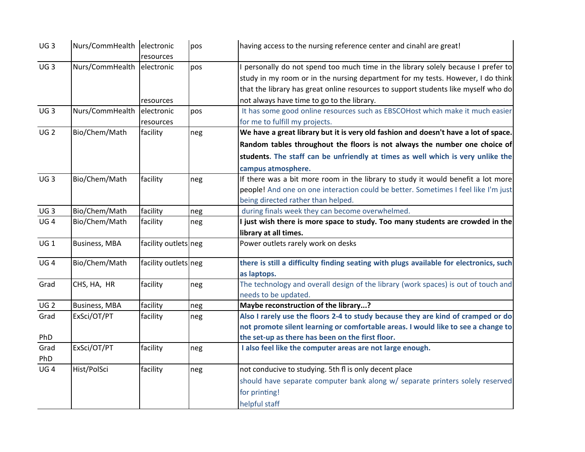| UG <sub>3</sub> | Nurs/CommHealth electronic | resources            | pos | having access to the nursing reference center and cinahl are great!                    |
|-----------------|----------------------------|----------------------|-----|----------------------------------------------------------------------------------------|
| UG <sub>3</sub> | Nurs/CommHealth electronic |                      | pos | I personally do not spend too much time in the library solely because I prefer to      |
|                 |                            |                      |     | study in my room or in the nursing department for my tests. However, I do think        |
|                 |                            |                      |     | that the library has great online resources to support students like myself who do     |
|                 |                            | resources            |     | not always have time to go to the library.                                             |
| UG <sub>3</sub> | Nurs/CommHealth            | electronic           | pos | It has some good online resources such as EBSCOHost which make it much easier          |
|                 |                            | resources            |     | for me to fulfill my projects.                                                         |
| <b>UG2</b>      | Bio/Chem/Math              | facility             | neg | We have a great library but it is very old fashion and doesn't have a lot of space.    |
|                 |                            |                      |     | Random tables throughout the floors is not always the number one choice of             |
|                 |                            |                      |     | students. The staff can be unfriendly at times as well which is very unlike the        |
|                 |                            |                      |     | campus atmosphere.                                                                     |
| UG <sub>3</sub> | Bio/Chem/Math              | facility             | neg | If there was a bit more room in the library to study it would benefit a lot more       |
|                 |                            |                      |     | people! And one on one interaction could be better. Sometimes I feel like I'm just     |
|                 |                            |                      |     | being directed rather than helped.                                                     |
| UG <sub>3</sub> | Bio/Chem/Math              | facility             | neg | during finals week they can become overwhelmed.                                        |
| UG <sub>4</sub> | Bio/Chem/Math              | facility             | neg | I just wish there is more space to study. Too many students are crowded in the         |
|                 |                            |                      |     | library at all times.                                                                  |
| UG 1            | <b>Business, MBA</b>       | facility outlets neg |     | Power outlets rarely work on desks                                                     |
| UG <sub>4</sub> | Bio/Chem/Math              | facility outlets neg |     | there is still a difficulty finding seating with plugs available for electronics, such |
|                 |                            |                      |     | as laptops.                                                                            |
| Grad            | CHS, HA, HR                | facility             | neg | The technology and overall design of the library (work spaces) is out of touch and     |
|                 |                            |                      |     | needs to be updated.                                                                   |
| UG <sub>2</sub> | <b>Business, MBA</b>       | facility             | neg | Maybe reconstruction of the library?                                                   |
| Grad            | ExSci/OT/PT                | facility             | neg | Also I rarely use the floors 2-4 to study because they are kind of cramped or do       |
|                 |                            |                      |     | not promote silent learning or comfortable areas. I would like to see a change to      |
| PhD             |                            |                      |     | the set-up as there has been on the first floor.                                       |
| Grad            | ExSci/OT/PT                | facility             | neg | I also feel like the computer areas are not large enough.                              |
| PhD             |                            |                      |     |                                                                                        |
| UG <sub>4</sub> | Hist/PolSci                | facility             | neg | not conducive to studying. 5th fl is only decent place                                 |
|                 |                            |                      |     | should have separate computer bank along w/ separate printers solely reserved          |
|                 |                            |                      |     | for printing!                                                                          |
|                 |                            |                      |     | helpful staff                                                                          |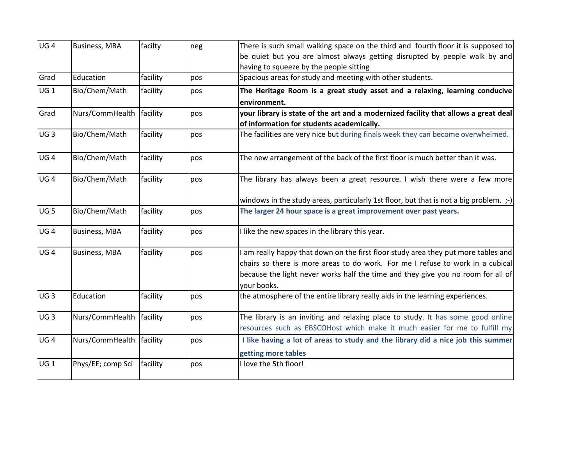| UG <sub>4</sub> | <b>Business, MBA</b>       | facilty  | neg | There is such small walking space on the third and fourth floor it is supposed to               |
|-----------------|----------------------------|----------|-----|-------------------------------------------------------------------------------------------------|
|                 |                            |          |     | be quiet but you are almost always getting disrupted by people walk by and                      |
|                 |                            |          |     | having to squeeze by the people sitting                                                         |
| Grad            | Education                  | facility | pos | Spacious areas for study and meeting with other students.                                       |
| UG <sub>1</sub> | Bio/Chem/Math              | facility | pos | The Heritage Room is a great study asset and a relaxing, learning conducive                     |
|                 |                            |          |     | environment.                                                                                    |
| Grad            | Nurs/CommHealth facility   |          | pos | your library is state of the art and a modernized facility that allows a great deal             |
|                 |                            |          |     | of information for students academically.                                                       |
| UG <sub>3</sub> | Bio/Chem/Math              | facility | pos | The facilities are very nice but during finals week they can become overwhelmed.                |
| UG <sub>4</sub> | Bio/Chem/Math              | facility | pos | The new arrangement of the back of the first floor is much better than it was.                  |
| UG <sub>4</sub> | Bio/Chem/Math              | facility | pos | The library has always been a great resource. I wish there were a few more                      |
|                 |                            |          |     | windows in the study areas, particularly 1st floor, but that is not a big problem. ;-)          |
| UG <sub>5</sub> | Bio/Chem/Math              | facility | pos | The larger 24 hour space is a great improvement over past years.                                |
| UG <sub>4</sub> | <b>Business, MBA</b>       | facility | pos | I like the new spaces in the library this year.                                                 |
| UG <sub>4</sub> | <b>Business, MBA</b>       | facility | pos | I am really happy that down on the first floor study area they put more tables and              |
|                 |                            |          |     | chairs so there is more areas to do work. For me I refuse to work in a cubical                  |
|                 |                            |          |     | because the light never works half the time and they give you no room for all of<br>vour books. |
| UG <sub>3</sub> | Education                  | facility | pos | the atmosphere of the entire library really aids in the learning experiences.                   |
| UG <sub>3</sub> | Nurs/CommHealth   facility |          | pos | The library is an inviting and relaxing place to study. It has some good online                 |
|                 |                            |          |     | resources such as EBSCOHost which make it much easier for me to fulfill my                      |
| UG <sub>4</sub> | Nurs/CommHealth facility   |          | pos | I like having a lot of areas to study and the library did a nice job this summer                |
|                 |                            |          |     | getting more tables                                                                             |
| UG <sub>1</sub> | Phys/EE; comp Sci          | facility | pos | I love the 5th floor!                                                                           |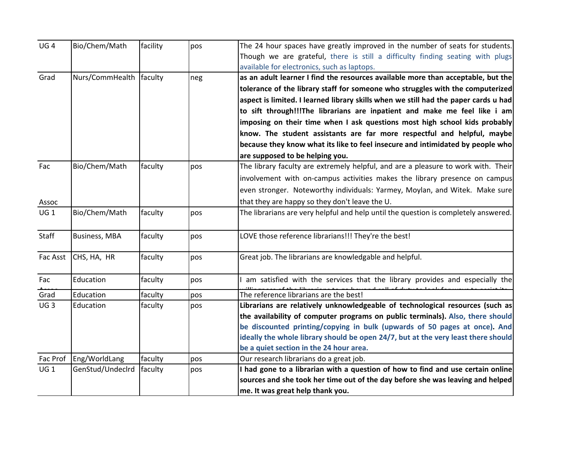| UG <sub>4</sub> | Bio/Chem/Math           | facility | pos | The 24 hour spaces have greatly improved in the number of seats for students.       |
|-----------------|-------------------------|----------|-----|-------------------------------------------------------------------------------------|
|                 |                         |          |     | Though we are grateful, there is still a difficulty finding seating with plugs      |
|                 |                         |          |     | available for electronics, such as laptops.                                         |
| Grad            | Nurs/CommHealth faculty |          | neg | as an adult learner I find the resources available more than acceptable, but the    |
|                 |                         |          |     | tolerance of the library staff for someone who struggles with the computerized      |
|                 |                         |          |     | aspect is limited. I learned library skills when we still had the paper cards u had |
|                 |                         |          |     | to sift through!!!The librarians are inpatient and make me feel like i am           |
|                 |                         |          |     | imposing on their time when I ask questions most high school kids probably          |
|                 |                         |          |     | know. The student assistants are far more respectful and helpful, maybe             |
|                 |                         |          |     | because they know what its like to feel insecure and intimidated by people who      |
|                 |                         |          |     | are supposed to be helping you.                                                     |
| Fac             | Bio/Chem/Math           | faculty  | pos | The library faculty are extremely helpful, and are a pleasure to work with. Their   |
|                 |                         |          |     | involvement with on-campus activities makes the library presence on campus          |
|                 |                         |          |     | even stronger. Noteworthy individuals: Yarmey, Moylan, and Witek. Make sure         |
| Assoc           |                         |          |     | that they are happy so they don't leave the U.                                      |
| UG1             | Bio/Chem/Math           | faculty  | pos | The librarians are very helpful and help until the question is completely answered. |
| Staff           | <b>Business, MBA</b>    | faculty  | pos | LOVE those reference librarians!!! They're the best!                                |
| Fac Asst        | CHS, HA, HR             | faculty  | pos | Great job. The librarians are knowledgable and helpful.                             |
| Fac             | Education               | faculty  | pos | am satisfied with the services that the library provides and especially the         |
| Grad            | Education               | faculty  | pos | The reference librarians are the best!                                              |
| UG <sub>3</sub> | Education               | faculty  | pos | Librarians are relatively unknowledgeable of technological resources (such as       |
|                 |                         |          |     | the availability of computer programs on public terminals). Also, there should      |
|                 |                         |          |     | be discounted printing/copying in bulk (upwards of 50 pages at once). And           |
|                 |                         |          |     | ideally the whole library should be open 24/7, but at the very least there should   |
|                 |                         |          |     | be a quiet section in the 24 hour area.                                             |
| Fac Prof        | Eng/WorldLang           | faculty  | pos | Our research librarians do a great job.                                             |
| UG 1            | GenStud/Undeclrd        | faculty  | pos | I had gone to a librarian with a question of how to find and use certain online     |
|                 |                         |          |     | sources and she took her time out of the day before she was leaving and helped      |
|                 |                         |          |     | me. It was great help thank you.                                                    |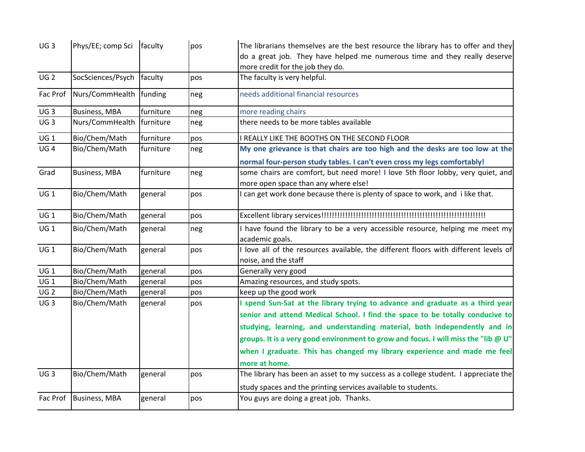| UG <sub>3</sub> | Phys/EE; comp Sci   faculty |           | pos | The librarians themselves are the best resource the library has to offer and they         |
|-----------------|-----------------------------|-----------|-----|-------------------------------------------------------------------------------------------|
|                 |                             |           |     | do a great job. They have helped me numerous time and they really deserve                 |
|                 |                             |           |     | more credit for the job they do.                                                          |
| UG <sub>2</sub> | SocSciences/Psych faculty   |           | pos | The faculty is very helpful.                                                              |
| Fac Prof        | Nurs/CommHealth funding     |           | neg | needs additional financial resources                                                      |
| UG <sub>3</sub> | <b>Business, MBA</b>        | furniture | neg | more reading chairs                                                                       |
| UG <sub>3</sub> | Nurs/CommHealth             | furniture | neg | there needs to be more tables available                                                   |
| UG <sub>1</sub> | Bio/Chem/Math               | furniture | pos | I REALLY LIKE THE BOOTHS ON THE SECOND FLOOR                                              |
| UG <sub>4</sub> | Bio/Chem/Math               | furniture | neg | My one grievance is that chairs are too high and the desks are too low at the             |
|                 |                             |           |     | normal four-person study tables. I can't even cross my legs comfortably!                  |
| Grad            | <b>Business, MBA</b>        | furniture | neg | some chairs are comfort, but need more! I love 5th floor lobby, very quiet, and           |
|                 |                             |           |     | more open space than any where else!                                                      |
| UG 1            | Bio/Chem/Math               | general   | pos | can get work done because there is plenty of space to work, and i like that.              |
| UG 1            | Bio/Chem/Math               | general   | pos |                                                                                           |
| UG 1            | Bio/Chem/Math               | general   | neg | I have found the library to be a very accessible resource, helping me meet my             |
|                 |                             |           |     | academic goals.                                                                           |
| UG <sub>1</sub> | Bio/Chem/Math               | general   | pos | I love all of the resources available, the different floors with different levels of      |
|                 |                             |           |     | noise, and the staff                                                                      |
| UG1             | Bio/Chem/Math               | general   | pos | Generally very good                                                                       |
| UG1             | Bio/Chem/Math               | general   | pos | Amazing resources, and study spots.                                                       |
| UG <sub>2</sub> | Bio/Chem/Math               | general   | pos | keep up the good work                                                                     |
| UG <sub>3</sub> | Bio/Chem/Math               | general   | pos | I spend Sun-Sat at the library trying to advance and graduate as a third year             |
|                 |                             |           |     | senior and attend Medical School. I find the space to be totally conducive to             |
|                 |                             |           |     | studying, learning, and understanding material, both independently and in                 |
|                 |                             |           |     | groups. It is a very good environment to grow and focus. I will miss the "lib $\omega$ U" |
|                 |                             |           |     | when I graduate. This has changed my library experience and made me feel                  |
|                 |                             |           |     | more at home.                                                                             |
| UG <sub>3</sub> | Bio/Chem/Math               | general   | pos | The library has been an asset to my success as a college student. I appreciate the        |
|                 |                             |           |     | study spaces and the printing services available to students.                             |
| Fac Prof        | <b>Business, MBA</b>        | general   | pos | You guys are doing a great job. Thanks.                                                   |
|                 |                             |           |     |                                                                                           |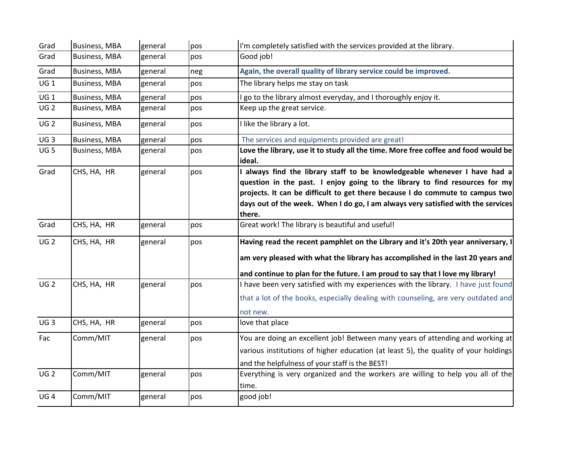| Grad            | <b>Business, MBA</b> | general | pos | I'm completely satisfied with the services provided at the library.                          |
|-----------------|----------------------|---------|-----|----------------------------------------------------------------------------------------------|
| Grad            | <b>Business, MBA</b> | general | pos | Good job!                                                                                    |
| Grad            | <b>Business, MBA</b> | general | neg | Again, the overall quality of library service could be improved.                             |
| UG <sub>1</sub> | <b>Business, MBA</b> | general | pos | The library helps me stay on task                                                            |
| UG 1            | <b>Business, MBA</b> | general | pos | I go to the library almost everyday, and I thoroughly enjoy it.                              |
| UG <sub>2</sub> | <b>Business, MBA</b> | general | pos | Keep up the great service.                                                                   |
| UG <sub>2</sub> | <b>Business, MBA</b> | general | pos | I like the library a lot.                                                                    |
| UG <sub>3</sub> | <b>Business, MBA</b> | general | pos | The services and equipments provided are great!                                              |
| UG <sub>5</sub> | <b>Business, MBA</b> | general | pos | Love the library, use it to study all the time. More free coffee and food would be<br>ideal. |
| Grad            | CHS, HA, HR          | general | pos | I always find the library staff to be knowledgeable whenever I have had a                    |
|                 |                      |         |     | question in the past. I enjoy going to the library to find resources for my                  |
|                 |                      |         |     | projects. It can be difficult to get there because I do commute to campus two                |
|                 |                      |         |     | days out of the week. When I do go, I am always very satisfied with the services             |
|                 |                      |         |     | there.                                                                                       |
| Grad            | CHS, HA, HR          | general | pos | Great work! The library is beautiful and useful!                                             |
| UG <sub>2</sub> | CHS, HA, HR          | general | pos | Having read the recent pamphlet on the Library and it's 20th year anniversary, I             |
|                 |                      |         |     | am very pleased with what the library has accomplished in the last 20 years and              |
|                 |                      |         |     | and continue to plan for the future. I am proud to say that I love my library!               |
| UG <sub>2</sub> | CHS, HA, HR          | general | pos | I have been very satisfied with my experiences with the library. I have just found           |
|                 |                      |         |     | that a lot of the books, especially dealing with counseling, are very outdated and           |
|                 |                      |         |     | not new.                                                                                     |
| UG3             | CHS, HA, HR          | general | pos | love that place                                                                              |
| Fac             | Comm/MIT             | general | pos | You are doing an excellent job! Between many years of attending and working at               |
|                 |                      |         |     | various institutions of higher education (at least 5), the quality of your holdings          |
|                 |                      |         |     | and the helpfulness of your staff is the BEST!                                               |
| UG <sub>2</sub> | Comm/MIT             | general | pos | Everything is very organized and the workers are willing to help you all of the              |
|                 |                      |         |     | time.                                                                                        |
| UG <sub>4</sub> | Comm/MIT             | general | pos | good job!                                                                                    |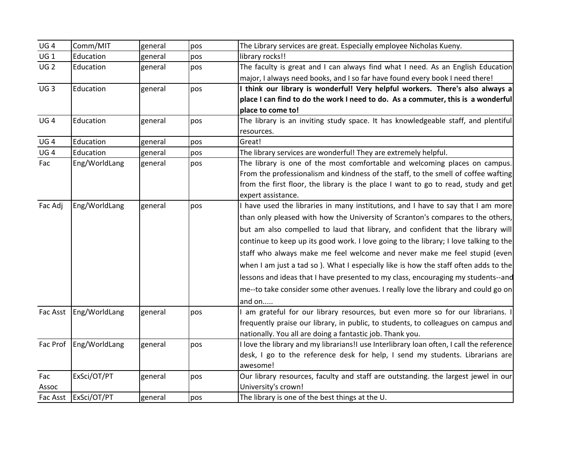| UG <sub>4</sub> | Comm/MIT               | general | pos | The Library services are great. Especially employee Nicholas Kueny.                      |
|-----------------|------------------------|---------|-----|------------------------------------------------------------------------------------------|
| UG <sub>1</sub> | Education              | general | pos | library rocks!!                                                                          |
| UG <sub>2</sub> | Education              | general | pos | The faculty is great and I can always find what I need. As an English Education          |
|                 |                        |         |     | major, I always need books, and I so far have found every book I need there!             |
| UG <sub>3</sub> | Education              | general | pos | I think our library is wonderful! Very helpful workers. There's also always a            |
|                 |                        |         |     | place I can find to do the work I need to do. As a commuter, this is a wonderful         |
|                 |                        |         |     | place to come to!                                                                        |
| UG <sub>4</sub> | Education              | general | pos | The library is an inviting study space. It has knowledgeable staff, and plentiful        |
|                 |                        |         |     | resources.                                                                               |
| UG <sub>4</sub> | Education              | general | pos | Great!                                                                                   |
| UG <sub>4</sub> | Education              | general | pos | The library services are wonderful! They are extremely helpful.                          |
| Fac             | Eng/WorldLang          | general | pos | The library is one of the most comfortable and welcoming places on campus.               |
|                 |                        |         |     | From the professionalism and kindness of the staff, to the smell of coffee wafting       |
|                 |                        |         |     | from the first floor, the library is the place I want to go to read, study and get       |
|                 |                        |         |     | expert assistance.                                                                       |
| Fac Adj         | Eng/WorldLang          | general | pos | I have used the libraries in many institutions, and I have to say that I am more         |
|                 |                        |         |     | than only pleased with how the University of Scranton's compares to the others,          |
|                 |                        |         |     | but am also compelled to laud that library, and confident that the library will          |
|                 |                        |         |     | continue to keep up its good work. I love going to the library; I love talking to the    |
|                 |                        |         |     | staff who always make me feel welcome and never make me feel stupid (even                |
|                 |                        |         |     | when I am just a tad so ). What I especially like is how the staff often adds to the     |
|                 |                        |         |     | lessons and ideas that I have presented to my class, encouraging my students--and        |
|                 |                        |         |     | me--to take consider some other avenues. I really love the library and could go on       |
|                 |                        |         |     | and on                                                                                   |
| Fac Asst        | Eng/WorldLang          | general | pos | I am grateful for our library resources, but even more so for our librarians. I          |
|                 |                        |         |     | frequently praise our library, in public, to students, to colleagues on campus and       |
|                 |                        |         |     | nationally. You all are doing a fantastic job. Thank you.                                |
|                 | Fac Prof Eng/WorldLang | general | pos | I love the library and my librarians!I use Interlibrary loan often, I call the reference |
|                 |                        |         |     | desk, I go to the reference desk for help, I send my students. Librarians are            |
|                 |                        |         |     | awesome!                                                                                 |
| Fac             | ExSci/OT/PT            | general | pos | Our library resources, faculty and staff are outstanding. the largest jewel in our       |
| Assoc           |                        |         |     | University's crown!                                                                      |
|                 | Fac Asst   ExSci/OT/PT | general | pos | The library is one of the best things at the U.                                          |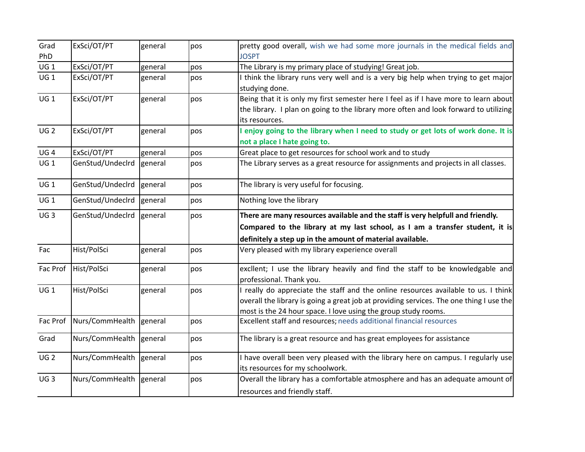| Grad            | ExSci/OT/PT              | general | pos | pretty good overall, wish we had some more journals in the medical fields and                                                                                                                                                                   |
|-----------------|--------------------------|---------|-----|-------------------------------------------------------------------------------------------------------------------------------------------------------------------------------------------------------------------------------------------------|
| PhD             |                          |         |     | <b>JOSPT</b>                                                                                                                                                                                                                                    |
| $UG_1$          | ExSci/OT/PT              | general | pos | The Library is my primary place of studying! Great job.                                                                                                                                                                                         |
| UG 1            | ExSci/OT/PT              | general | pos | I think the library runs very well and is a very big help when trying to get major<br>studying done.                                                                                                                                            |
| UG1             | ExSci/OT/PT              | general | pos | Being that it is only my first semester here I feel as if I have more to learn about<br>the library. I plan on going to the library more often and look forward to utilizing<br>its resources.                                                  |
| UG <sub>2</sub> | ExSci/OT/PT              | general | pos | I enjoy going to the library when I need to study or get lots of work done. It is<br>not a place I hate going to.                                                                                                                               |
| UG <sub>4</sub> | ExSci/OT/PT              | general | pos | Great place to get resources for school work and to study                                                                                                                                                                                       |
| $UG_1$          | GenStud/Undeclrd         | general | pos | The Library serves as a great resource for assignments and projects in all classes.                                                                                                                                                             |
| UG <sub>1</sub> | GenStud/Undeclrd         | general | pos | The library is very useful for focusing.                                                                                                                                                                                                        |
| UG 1            | GenStud/Undecird general |         | pos | Nothing love the library                                                                                                                                                                                                                        |
| UG <sub>3</sub> | GenStud/Undecird general |         | pos | There are many resources available and the staff is very helpfull and friendly.                                                                                                                                                                 |
|                 |                          |         |     | Compared to the library at my last school, as I am a transfer student, it is                                                                                                                                                                    |
|                 |                          |         |     | definitely a step up in the amount of material available.                                                                                                                                                                                       |
| Fac             | Hist/PolSci              | general | pos | Very pleased with my library experience overall                                                                                                                                                                                                 |
| Fac Prof        | Hist/PolSci              | general | pos | excllent; I use the library heavily and find the staff to be knowledgable and<br>professional. Thank you.                                                                                                                                       |
| $UG_1$          | Hist/PolSci              | general | pos | I really do appreciate the staff and the online resources available to us. I think<br>overall the library is going a great job at providing services. The one thing I use the<br>most is the 24 hour space. I love using the group study rooms. |
| Fac Prof        | Nurs/CommHealth general  |         | pos | Excellent staff and resources; needs additional financial resources                                                                                                                                                                             |
| Grad            | Nurs/CommHealth general  |         | pos | The library is a great resource and has great employees for assistance                                                                                                                                                                          |
| <b>UG2</b>      | Nurs/CommHealth general  |         | pos | I have overall been very pleased with the library here on campus. I regularly use<br>its resources for my schoolwork.                                                                                                                           |
| UG <sub>3</sub> | Nurs/CommHealth general  |         | pos | Overall the library has a comfortable atmosphere and has an adequate amount of<br>resources and friendly staff.                                                                                                                                 |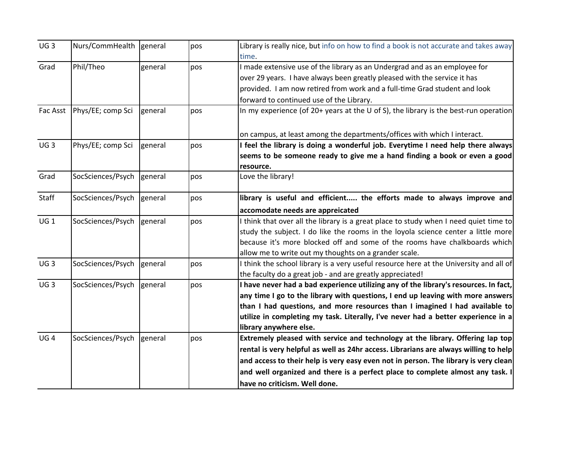| UG <sub>3</sub> | Nurs/CommHealth general   |         | pos | Library is really nice, but info on how to find a book is not accurate and takes away<br>time. |
|-----------------|---------------------------|---------|-----|------------------------------------------------------------------------------------------------|
| Grad            | Phil/Theo                 | general | pos | I made extensive use of the library as an Undergrad and as an employee for                     |
|                 |                           |         |     | over 29 years. I have always been greatly pleased with the service it has                      |
|                 |                           |         |     |                                                                                                |
|                 |                           |         |     | provided. I am now retired from work and a full-time Grad student and look                     |
|                 |                           |         |     | forward to continued use of the Library.                                                       |
| Fac Asst        | Phys/EE; comp Sci         | general | pos | In my experience (of 20+ years at the U of S), the library is the best-run operation           |
|                 |                           |         |     | on campus, at least among the departments/offices with which I interact.                       |
| UG <sub>3</sub> | Phys/EE; comp Sci         | general | pos | I feel the library is doing a wonderful job. Everytime I need help there always                |
|                 |                           |         |     | seems to be someone ready to give me a hand finding a book or even a good                      |
|                 |                           |         |     | resource.                                                                                      |
| Grad            | SocSciences/Psych         | general | pos | Love the library!                                                                              |
| Staff           | SocSciences/Psych general |         | pos | library is useful and efficient the efforts made to always improve and                         |
|                 |                           |         |     | accomodate needs are appreicated                                                               |
| UG <sub>1</sub> | SocSciences/Psych general |         | pos | I think that over all the library is a great place to study when I need quiet time to          |
|                 |                           |         |     | study the subject. I do like the rooms in the loyola science center a little more              |
|                 |                           |         |     | because it's more blocked off and some of the rooms have chalkboards which                     |
|                 |                           |         |     | allow me to write out my thoughts on a grander scale.                                          |
| UG <sub>3</sub> | SocSciences/Psych general |         | pos | I think the school library is a very useful resource here at the University and all of         |
|                 |                           |         |     | the faculty do a great job - and are greatly appreciated!                                      |
| UG <sub>3</sub> | SocSciences/Psych general |         | pos | I have never had a bad experience utilizing any of the library's resources. In fact,           |
|                 |                           |         |     | any time I go to the library with questions, I end up leaving with more answers                |
|                 |                           |         |     | than I had questions, and more resources than I imagined I had available to                    |
|                 |                           |         |     | utilize in completing my task. Literally, I've never had a better experience in a              |
|                 |                           |         |     | library anywhere else.                                                                         |
| UG <sub>4</sub> | SocSciences/Psych general |         | pos | Extremely pleased with service and technology at the library. Offering lap top                 |
|                 |                           |         |     | rental is very helpful as well as 24hr access. Librarians are always willing to help           |
|                 |                           |         |     | and access to their help is very easy even not in person. The library is very clean            |
|                 |                           |         |     | and well organized and there is a perfect place to complete almost any task. I                 |
|                 |                           |         |     | have no criticism. Well done.                                                                  |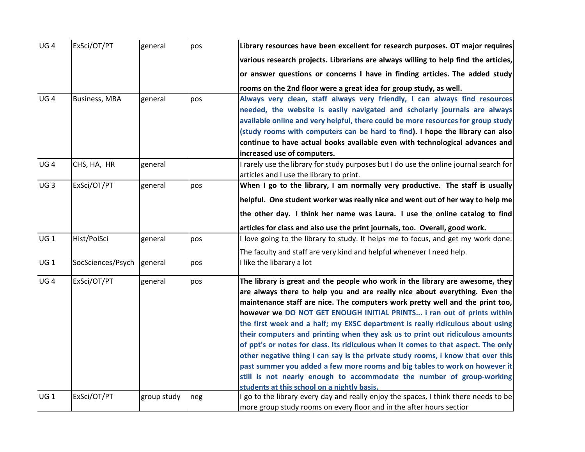| UG <sub>4</sub> | ExSci/OT/PT               | general     | pos | Library resources have been excellent for research purposes. OT major requires         |
|-----------------|---------------------------|-------------|-----|----------------------------------------------------------------------------------------|
|                 |                           |             |     | various research projects. Librarians are always willing to help find the articles,    |
|                 |                           |             |     | or answer questions or concerns I have in finding articles. The added study            |
|                 |                           |             |     | rooms on the 2nd floor were a great idea for group study, as well.                     |
| UG <sub>4</sub> | <b>Business, MBA</b>      | general     | pos | Always very clean, staff always very friendly, I can always find resources             |
|                 |                           |             |     | needed, the website is easily navigated and scholarly journals are always              |
|                 |                           |             |     | available online and very helpful, there could be more resources for group study       |
|                 |                           |             |     | (study rooms with computers can be hard to find). I hope the library can also          |
|                 |                           |             |     | continue to have actual books available even with technological advances and           |
|                 |                           |             |     | increased use of computers.                                                            |
| UG <sub>4</sub> | CHS, HA, HR               | general     |     | I rarely use the library for study purposes but I do use the online journal search for |
|                 |                           |             |     | articles and I use the library to print.                                               |
| UG <sub>3</sub> | ExSci/OT/PT               | general     | pos | When I go to the library, I am normally very productive. The staff is usually          |
|                 |                           |             |     | helpful. One student worker was really nice and went out of her way to help me         |
|                 |                           |             |     | the other day. I think her name was Laura. I use the online catalog to find            |
|                 |                           |             |     | articles for class and also use the print journals, too. Overall, good work.           |
| UG <sub>1</sub> | Hist/PolSci               | general     | pos | I love going to the library to study. It helps me to focus, and get my work done.      |
|                 |                           |             |     | The faculty and staff are very kind and helpful whenever I need help.                  |
| UG 1            | SocSciences/Psych general |             | pos | I like the libarary a lot                                                              |
| UG <sub>4</sub> | ExSci/OT/PT               | general     | pos | The library is great and the people who work in the library are awesome, they          |
|                 |                           |             |     | are always there to help you and are really nice about everything. Even the            |
|                 |                           |             |     | maintenance staff are nice. The computers work pretty well and the print too,          |
|                 |                           |             |     | however we DO NOT GET ENOUGH INITIAL PRINTS i ran out of prints within                 |
|                 |                           |             |     | the first week and a half; my EXSC department is really ridiculous about using         |
|                 |                           |             |     | their computers and printing when they ask us to print out ridiculous amounts          |
|                 |                           |             |     | of ppt's or notes for class. Its ridiculous when it comes to that aspect. The only     |
|                 |                           |             |     | other negative thing i can say is the private study rooms, i know that over this       |
|                 |                           |             |     | past summer you added a few more rooms and big tables to work on however it            |
|                 |                           |             |     | still is not nearly enough to accommodate the number of group-working                  |
|                 |                           |             |     | students at this school on a nightly basis.                                            |
| UG 1            | ExSci/OT/PT               | group study | neg | I go to the library every day and really enjoy the spaces, I think there needs to be   |
|                 |                           |             |     | more group study rooms on every floor and in the after hours sectior                   |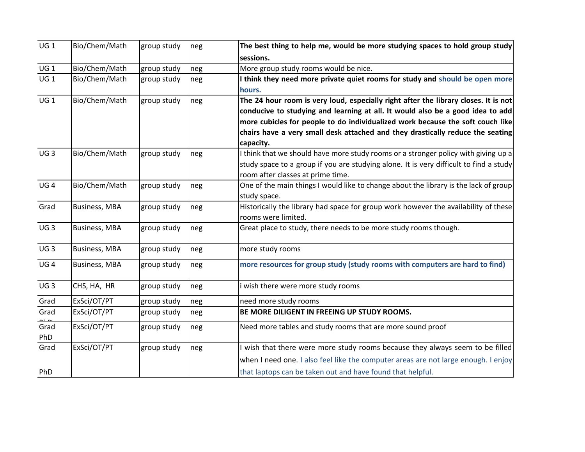| UG1             | Bio/Chem/Math        | group study | neg | The best thing to help me, would be more studying spaces to hold group study           |
|-----------------|----------------------|-------------|-----|----------------------------------------------------------------------------------------|
|                 |                      |             |     | sessions.                                                                              |
| UG 1            | Bio/Chem/Math        | group study | neg | More group study rooms would be nice.                                                  |
| UG <sub>1</sub> | Bio/Chem/Math        | group study | neg | I think they need more private quiet rooms for study and should be open more           |
|                 |                      |             |     | hours.                                                                                 |
| UG1             | Bio/Chem/Math        | group study | neg | The 24 hour room is very loud, especially right after the library closes. It is not    |
|                 |                      |             |     | conducive to studying and learning at all. It would also be a good idea to add         |
|                 |                      |             |     | more cubicles for people to do individualized work because the soft couch like         |
|                 |                      |             |     | chairs have a very small desk attached and they drastically reduce the seating         |
|                 |                      |             |     | capacity.                                                                              |
| UG <sub>3</sub> | Bio/Chem/Math        | group study | neg | I think that we should have more study rooms or a stronger policy with giving up a     |
|                 |                      |             |     | study space to a group if you are studying alone. It is very difficult to find a study |
|                 |                      |             |     | room after classes at prime time.                                                      |
| UG4             | Bio/Chem/Math        | group study | neg | One of the main things I would like to change about the library is the lack of group   |
|                 |                      |             |     | study space.                                                                           |
| Grad            | <b>Business, MBA</b> | group study | neg | Historically the library had space for group work however the availability of these    |
|                 |                      |             |     | rooms were limited.                                                                    |
| UG <sub>3</sub> | <b>Business, MBA</b> | group study | neg | Great place to study, there needs to be more study rooms though.                       |
| UG <sub>3</sub> | <b>Business, MBA</b> | group study | neg | more study rooms                                                                       |
| UG <sub>4</sub> | <b>Business, MBA</b> | group study | neg | more resources for group study (study rooms with computers are hard to find)           |
| UG <sub>3</sub> | CHS, HA, HR          | group study | neg | i wish there were more study rooms                                                     |
| Grad            | ExSci/OT/PT          | group study | neg | need more study rooms                                                                  |
| Grad            | ExSci/OT/PT          | group study | neg | BE MORE DILIGENT IN FREEING UP STUDY ROOMS.                                            |
| Grad<br>PhD     | ExSci/OT/PT          | group study | neg | Need more tables and study rooms that are more sound proof                             |
| Grad            | ExSci/OT/PT          | group study | neg | wish that there were more study rooms because they always seem to be filled            |
|                 |                      |             |     | when I need one. I also feel like the computer areas are not large enough. I enjoy     |
| PhD             |                      |             |     | that laptops can be taken out and have found that helpful.                             |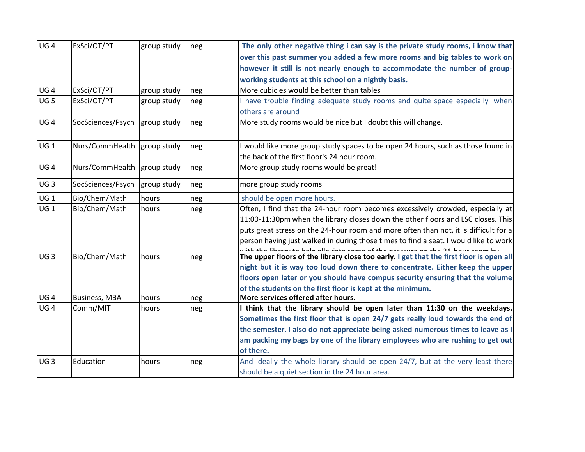| UG <sub>4</sub> | ExSci/OT/PT                 | group study | neg | The only other negative thing i can say is the private study rooms, i know that                                                 |
|-----------------|-----------------------------|-------------|-----|---------------------------------------------------------------------------------------------------------------------------------|
|                 |                             |             |     | over this past summer you added a few more rooms and big tables to work on                                                      |
|                 |                             |             |     | however it still is not nearly enough to accommodate the number of group-                                                       |
|                 |                             |             |     | working students at this school on a nightly basis.                                                                             |
| UG <sub>4</sub> | ExSci/OT/PT                 | group study | neg | More cubicles would be better than tables                                                                                       |
| UG <sub>5</sub> | ExSci/OT/PT                 | group study | neg | I have trouble finding adequate study rooms and quite space especially when                                                     |
|                 |                             |             |     | others are around                                                                                                               |
| UG <sub>4</sub> | SocSciences/Psych           | group study | neg | More study rooms would be nice but I doubt this will change.                                                                    |
| UG 1            | Nurs/CommHealth group study |             | neg | I would like more group study spaces to be open 24 hours, such as those found in<br>the back of the first floor's 24 hour room. |
| UG <sub>4</sub> | Nurs/CommHealth group study |             | neg | More group study rooms would be great!                                                                                          |
| UG <sub>3</sub> | SocSciences/Psych           | group study | neg | more group study rooms                                                                                                          |
| UG <sub>1</sub> | Bio/Chem/Math               | hours       | neg | should be open more hours.                                                                                                      |
| UG <sub>1</sub> | Bio/Chem/Math               | hours       | neg | Often, I find that the 24-hour room becomes excessively crowded, especially at                                                  |
|                 |                             |             |     | 11:00-11:30pm when the library closes down the other floors and LSC closes. This                                                |
|                 |                             |             |     | puts great stress on the 24-hour room and more often than not, it is difficult for a                                            |
|                 |                             |             |     | person having just walked in during those times to find a seat. I would like to work                                            |
| UG <sub>3</sub> | Bio/Chem/Math               | hours       | neg | لممسمم مقمئر بمللم سلميا مقتسمة<br>The upper floors of the library close too early. I get that the first floor is open all      |
|                 |                             |             |     | night but it is way too loud down there to concentrate. Either keep the upper                                                   |
|                 |                             |             |     | floors open later or you should have compus security ensuring that the volume                                                   |
|                 |                             |             |     | of the students on the first floor is kept at the minimum.                                                                      |
| UG <sub>4</sub> | <b>Business, MBA</b>        | hours       | neg | More services offered after hours.                                                                                              |
| UG <sub>4</sub> | Comm/MIT                    | hours       | neg | I think that the library should be open later than 11:30 on the weekdays.                                                       |
|                 |                             |             |     | Sometimes the first floor that is open 24/7 gets really loud towards the end of                                                 |
|                 |                             |             |     | the semester. I also do not appreciate being asked numerous times to leave as I                                                 |
|                 |                             |             |     | am packing my bags by one of the library employees who are rushing to get out                                                   |
|                 |                             |             |     | of there.                                                                                                                       |
| UG <sub>3</sub> | Education                   | hours       | neg | And ideally the whole library should be open 24/7, but at the very least there                                                  |
|                 |                             |             |     | should be a quiet section in the 24 hour area.                                                                                  |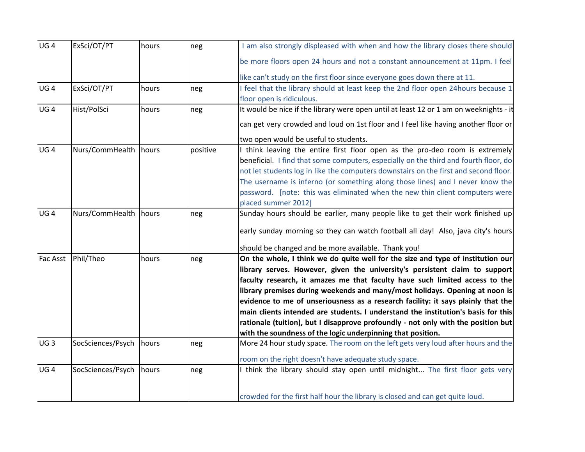| UG <sub>4</sub> | ExSci/OT/PT             | hours | neg      | I am also strongly displeased with when and how the library closes there should        |
|-----------------|-------------------------|-------|----------|----------------------------------------------------------------------------------------|
|                 |                         |       |          | be more floors open 24 hours and not a constant announcement at 11pm. I feel           |
|                 |                         |       |          | like can't study on the first floor since everyone goes down there at 11.              |
| UG <sub>4</sub> | ExSci/OT/PT             | hours | neg      | I feel that the library should at least keep the 2nd floor open 24hours because 1      |
|                 |                         |       |          | floor open is ridiculous.                                                              |
| UG <sub>4</sub> | Hist/PolSci             | hours | neg      | It would be nice if the library were open until at least 12 or 1 am on weeknights - it |
|                 |                         |       |          | can get very crowded and loud on 1st floor and I feel like having another floor or     |
|                 |                         |       |          | two open would be useful to students.                                                  |
| UG <sub>4</sub> | Nurs/CommHealth hours   |       | positive | I think leaving the entire first floor open as the pro-deo room is extremely           |
|                 |                         |       |          | beneficial. I find that some computers, especially on the third and fourth floor, do   |
|                 |                         |       |          | not let students log in like the computers downstairs on the first and second floor.   |
|                 |                         |       |          | The username is inferno (or something along those lines) and I never know the          |
|                 |                         |       |          | password. [note: this was eliminated when the new thin client computers were           |
|                 |                         |       |          | placed summer 2012]                                                                    |
| UG <sub>4</sub> | Nurs/CommHealth hours   |       | neg      | Sunday hours should be earlier, many people like to get their work finished up         |
|                 |                         |       |          | early sunday morning so they can watch football all day! Also, java city's hours       |
|                 |                         |       |          | should be changed and be more available. Thank you!                                    |
| Fac Asst        | Phil/Theo               | hours | neg      | On the whole, I think we do quite well for the size and type of institution our        |
|                 |                         |       |          | library serves. However, given the university's persistent claim to support            |
|                 |                         |       |          | faculty research, it amazes me that faculty have such limited access to the            |
|                 |                         |       |          | library premises during weekends and many/most holidays. Opening at noon is            |
|                 |                         |       |          | evidence to me of unseriousness as a research facility: it says plainly that the       |
|                 |                         |       |          | main clients intended are students. I understand the institution's basis for this      |
|                 |                         |       |          | rationale (tuition), but I disapprove profoundly - not only with the position but      |
|                 |                         |       |          | with the soundness of the logic underpinning that position.                            |
| UG <sub>3</sub> | SocSciences/Psych hours |       | neg      | More 24 hour study space. The room on the left gets very loud after hours and the      |
|                 |                         |       |          | room on the right doesn't have adequate study space.                                   |
| UG <sub>4</sub> | SocSciences/Psych       | hours | neg      | I think the library should stay open until midnight The first floor gets very          |
|                 |                         |       |          | crowded for the first half hour the library is closed and can get quite loud.          |
|                 |                         |       |          |                                                                                        |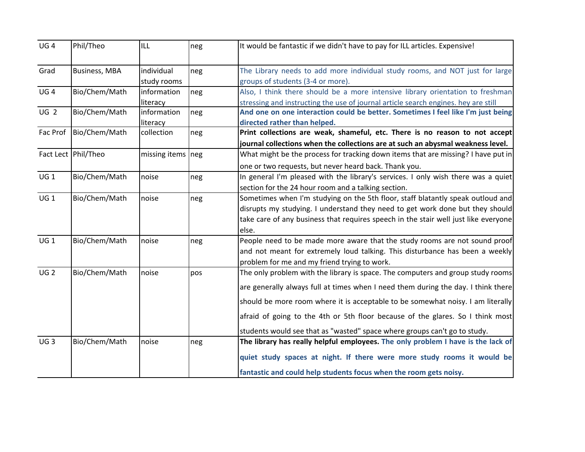| UG4             | Phil/Theo            | ILL                       | neg | It would be fantastic if we didn't have to pay for ILL articles. Expensive!                                                                                                                                                                                                                                                                                                                                            |
|-----------------|----------------------|---------------------------|-----|------------------------------------------------------------------------------------------------------------------------------------------------------------------------------------------------------------------------------------------------------------------------------------------------------------------------------------------------------------------------------------------------------------------------|
| Grad            | <b>Business, MBA</b> | individual<br>study rooms | neg | The Library needs to add more individual study rooms, and NOT just for large<br>groups of students (3-4 or more).                                                                                                                                                                                                                                                                                                      |
| UG <sub>4</sub> | Bio/Chem/Math        | information<br>literacy   | neg | Also, I think there should be a more intensive library orientation to freshman<br>stressing and instructing the use of journal article search engines. hey are still                                                                                                                                                                                                                                                   |
| UG <sub>2</sub> | Bio/Chem/Math        | information<br>literacy   | neg | And one on one interaction could be better. Sometimes I feel like I'm just being<br>directed rather than helped.                                                                                                                                                                                                                                                                                                       |
| Fac Prof        | Bio/Chem/Math        | collection                | neg | Print collections are weak, shameful, etc. There is no reason to not accept<br>journal collections when the collections are at such an abysmal weakness level.                                                                                                                                                                                                                                                         |
|                 | Fact Lect Phil/Theo  | missing items neg         |     | What might be the process for tracking down items that are missing? I have put in<br>one or two requests, but never heard back. Thank you.                                                                                                                                                                                                                                                                             |
| UG1             | Bio/Chem/Math        | noise                     | neg | In general I'm pleased with the library's services. I only wish there was a quiet<br>section for the 24 hour room and a talking section.                                                                                                                                                                                                                                                                               |
| UG 1            | Bio/Chem/Math        | noise                     | neg | Sometimes when I'm studying on the 5th floor, staff blatantly speak outloud and<br>disrupts my studying. I understand they need to get work done but they should<br>take care of any business that requires speech in the stair well just like everyone<br>else.                                                                                                                                                       |
| UG 1            | Bio/Chem/Math        | noise                     | neg | People need to be made more aware that the study rooms are not sound proof<br>and not meant for extremely loud talking. This disturbance has been a weekly<br>problem for me and my friend trying to work.                                                                                                                                                                                                             |
| UG <sub>2</sub> | Bio/Chem/Math        | noise                     | pos | The only problem with the library is space. The computers and group study rooms<br>are generally always full at times when I need them during the day. I think there<br>should be more room where it is acceptable to be somewhat noisy. I am literally<br>afraid of going to the 4th or 5th floor because of the glares. So I think most<br>students would see that as "wasted" space where groups can't go to study. |
| UG <sub>3</sub> | Bio/Chem/Math        | noise                     | neg | The library has really helpful employees. The only problem I have is the lack of<br>quiet study spaces at night. If there were more study rooms it would be<br>fantastic and could help students focus when the room gets noisy.                                                                                                                                                                                       |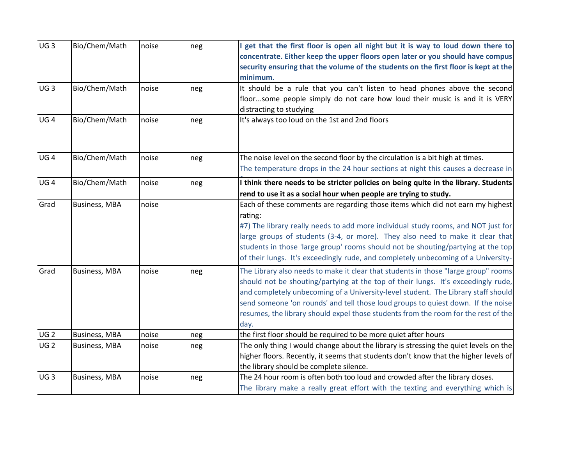| UG <sub>3</sub> | Bio/Chem/Math        | noise | neg | I get that the first floor is open all night but it is way to loud down there to<br>concentrate. Either keep the upper floors open later or you should have compus<br>security ensuring that the volume of the students on the first floor is kept at the<br>minimum.                                                                                                                                                                          |
|-----------------|----------------------|-------|-----|------------------------------------------------------------------------------------------------------------------------------------------------------------------------------------------------------------------------------------------------------------------------------------------------------------------------------------------------------------------------------------------------------------------------------------------------|
| UG <sub>3</sub> | Bio/Chem/Math        | noise | neg | It should be a rule that you can't listen to head phones above the second<br>floorsome people simply do not care how loud their music is and it is VERY<br>distracting to studying                                                                                                                                                                                                                                                             |
| UG <sub>4</sub> | Bio/Chem/Math        | noise | neg | It's always too loud on the 1st and 2nd floors                                                                                                                                                                                                                                                                                                                                                                                                 |
| UG <sub>4</sub> | Bio/Chem/Math        | noise | neg | The noise level on the second floor by the circulation is a bit high at times.<br>The temperature drops in the 24 hour sections at night this causes a decrease in                                                                                                                                                                                                                                                                             |
| UG <sub>4</sub> | Bio/Chem/Math        | noise | neg | I think there needs to be stricter policies on being quite in the library. Students<br>rend to use it as a social hour when people are trying to study.                                                                                                                                                                                                                                                                                        |
| Grad            | <b>Business, MBA</b> | noise |     | Each of these comments are regarding those items which did not earn my highest<br>rating:<br>#7) The library really needs to add more individual study rooms, and NOT just for<br>large groups of students (3-4, or more). They also need to make it clear that<br>students in those 'large group' rooms should not be shouting/partying at the top<br>of their lungs. It's exceedingly rude, and completely unbecoming of a University-       |
| Grad            | <b>Business, MBA</b> | noise | neg | The Library also needs to make it clear that students in those "large group" rooms<br>should not be shouting/partying at the top of their lungs. It's exceedingly rude,<br>and completely unbecoming of a University-level student. The Library staff should<br>send someone 'on rounds' and tell those loud groups to quiest down. If the noise<br>resumes, the library should expel those students from the room for the rest of the<br>day. |
| UG <sub>2</sub> | <b>Business, MBA</b> | noise | neg | the first floor should be required to be more quiet after hours                                                                                                                                                                                                                                                                                                                                                                                |
| UG <sub>2</sub> | <b>Business, MBA</b> | noise | neg | The only thing I would change about the library is stressing the quiet levels on the<br>higher floors. Recently, it seems that students don't know that the higher levels of<br>the library should be complete silence.                                                                                                                                                                                                                        |
| UG <sub>3</sub> | <b>Business, MBA</b> | noise | neg | The 24 hour room is often both too loud and crowded after the library closes.<br>The library make a really great effort with the texting and everything which is                                                                                                                                                                                                                                                                               |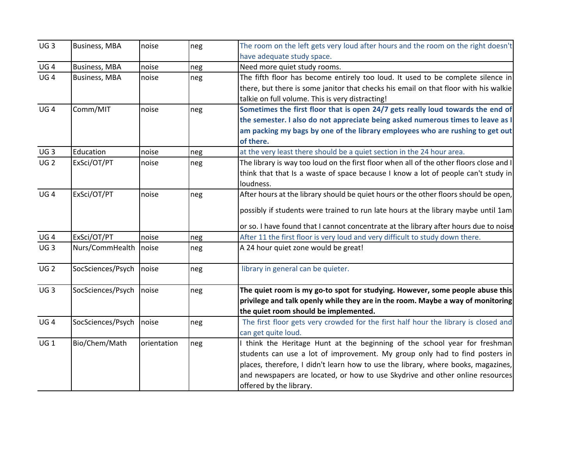| UG <sub>3</sub> | <b>Business, MBA</b> | noise       | neg | The room on the left gets very loud after hours and the room on the right doesn't       |
|-----------------|----------------------|-------------|-----|-----------------------------------------------------------------------------------------|
|                 |                      |             |     | have adequate study space.                                                              |
| UG <sub>4</sub> | <b>Business, MBA</b> | noise       | neg | Need more quiet study rooms.                                                            |
| UG <sub>4</sub> | <b>Business, MBA</b> | noise       | neg | The fifth floor has become entirely too loud. It used to be complete silence in         |
|                 |                      |             |     | there, but there is some janitor that checks his email on that floor with his walkie    |
|                 |                      |             |     | talkie on full volume. This is very distracting!                                        |
| UG <sub>4</sub> | Comm/MIT             | noise       | neg | Sometimes the first floor that is open 24/7 gets really loud towards the end of         |
|                 |                      |             |     | the semester. I also do not appreciate being asked numerous times to leave as I         |
|                 |                      |             |     | am packing my bags by one of the library employees who are rushing to get out           |
|                 |                      |             |     | of there.                                                                               |
| UG <sub>3</sub> | Education            | noise       | neg | at the very least there should be a quiet section in the 24 hour area.                  |
| UG <sub>2</sub> | ExSci/OT/PT          | noise       | neg | The library is way too loud on the first floor when all of the other floors close and I |
|                 |                      |             |     | think that that Is a waste of space because I know a lot of people can't study in       |
|                 |                      |             |     | loudness.                                                                               |
| UG <sub>4</sub> | ExSci/OT/PT          | noise       | neg | After hours at the library should be quiet hours or the other floors should be open,    |
|                 |                      |             |     | possibly if students were trained to run late hours at the library maybe until 1am      |
|                 |                      |             |     | or so. I have found that I cannot concentrate at the library after hours due to noise   |
| UG <sub>4</sub> | ExSci/OT/PT          | noise       | neg | After 11 the first floor is very loud and very difficult to study down there.           |
| UG <sub>3</sub> | Nurs/CommHealth      | noise       | neg | A 24 hour quiet zone would be great!                                                    |
|                 |                      |             |     |                                                                                         |
| UG <sub>2</sub> | SocSciences/Psych    | noise       | neg | library in general can be quieter.                                                      |
|                 |                      |             |     |                                                                                         |
| UG <sub>3</sub> | SocSciences/Psych    | noise       | neg | The quiet room is my go-to spot for studying. However, some people abuse this           |
|                 |                      |             |     | privilege and talk openly while they are in the room. Maybe a way of monitoring         |
|                 |                      |             |     | the quiet room should be implemented.                                                   |
| UG <sub>4</sub> | SocSciences/Psych    | noise       | neg | The first floor gets very crowded for the first half hour the library is closed and     |
|                 |                      |             |     | can get quite loud.                                                                     |
| UG <sub>1</sub> | Bio/Chem/Math        | orientation | neg | think the Heritage Hunt at the beginning of the school year for freshman                |
|                 |                      |             |     | students can use a lot of improvement. My group only had to find posters in             |
|                 |                      |             |     | places, therefore, I didn't learn how to use the library, where books, magazines,       |
|                 |                      |             |     | and newspapers are located, or how to use Skydrive and other online resources           |
|                 |                      |             |     | offered by the library.                                                                 |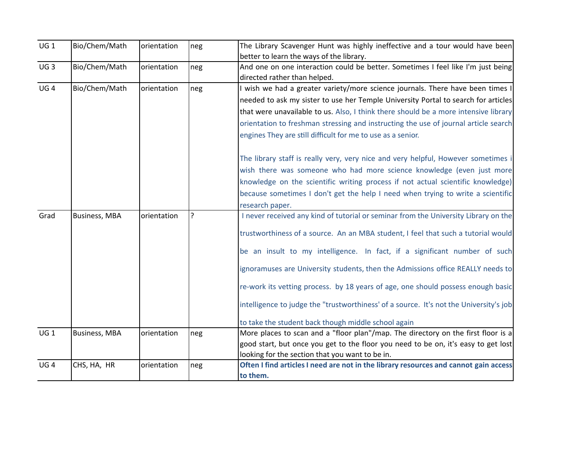| $UG_1$          | Bio/Chem/Math        | orientation | neg            | The Library Scavenger Hunt was highly ineffective and a tour would have been           |
|-----------------|----------------------|-------------|----------------|----------------------------------------------------------------------------------------|
|                 |                      |             |                | better to learn the ways of the library.                                               |
| UG <sub>3</sub> | Bio/Chem/Math        | orientation | neg            | And one on one interaction could be better. Sometimes I feel like I'm just being       |
|                 |                      |             |                | directed rather than helped.                                                           |
| UG <sub>4</sub> | Bio/Chem/Math        | orientation | neg            | wish we had a greater variety/more science journals. There have been times I           |
|                 |                      |             |                | needed to ask my sister to use her Temple University Portal to search for articles     |
|                 |                      |             |                | that were unavailable to us. Also, I think there should be a more intensive library    |
|                 |                      |             |                | orientation to freshman stressing and instructing the use of journal article search    |
|                 |                      |             |                | engines They are still difficult for me to use as a senior.                            |
|                 |                      |             |                | The library staff is really very, very nice and very helpful, However sometimes i      |
|                 |                      |             |                | wish there was someone who had more science knowledge (even just more                  |
|                 |                      |             |                | knowledge on the scientific writing process if not actual scientific knowledge)        |
|                 |                      |             |                | because sometimes I don't get the help I need when trying to write a scientific        |
|                 |                      |             |                | research paper.                                                                        |
| Grad            | <b>Business, MBA</b> | orientation | $\overline{?}$ | I never received any kind of tutorial or seminar from the University Library on the    |
|                 |                      |             |                | trustworthiness of a source. An an MBA student, I feel that such a tutorial would      |
|                 |                      |             |                | be an insult to my intelligence. In fact, if a significant number of such              |
|                 |                      |             |                | ignoramuses are University students, then the Admissions office REALLY needs to        |
|                 |                      |             |                | re-work its vetting process. by 18 years of age, one should possess enough basic       |
|                 |                      |             |                | intelligence to judge the "trustworthiness' of a source. It's not the University's job |
|                 |                      |             |                | to take the student back though middle school again                                    |
| UG1             | <b>Business, MBA</b> | orientation | neg            | More places to scan and a "floor plan"/map. The directory on the first floor is a      |
|                 |                      |             |                | good start, but once you get to the floor you need to be on, it's easy to get lost     |
|                 |                      |             |                | looking for the section that you want to be in.                                        |
| UG <sub>4</sub> | CHS, HA, HR          | orientation | neg            | Often I find articles I need are not in the library resources and cannot gain access   |
|                 |                      |             |                | to them.                                                                               |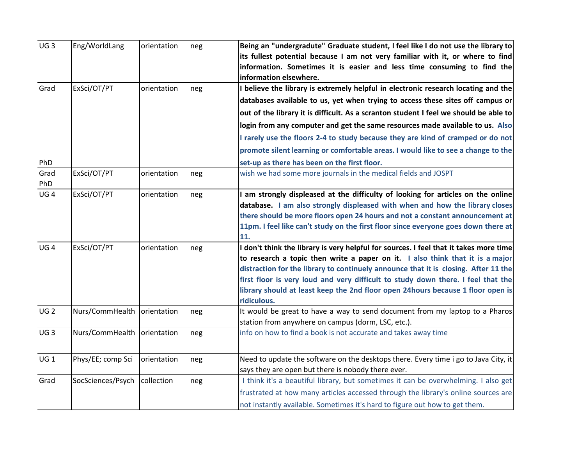| UG <sub>3</sub> | Eng/WorldLang                 | orientation | neg | Being an "undergradute" Graduate student, I feel like I do not use the library to     |
|-----------------|-------------------------------|-------------|-----|---------------------------------------------------------------------------------------|
|                 |                               |             |     | its fullest potential because I am not very familiar with it, or where to find        |
|                 |                               |             |     | information. Sometimes it is easier and less time consuming to find the               |
|                 |                               |             |     | information elsewhere.                                                                |
| Grad            | ExSci/OT/PT                   | orientation | neg | I believe the library is extremely helpful in electronic research locating and the    |
|                 |                               |             |     | databases available to us, yet when trying to access these sites off campus or        |
|                 |                               |             |     | out of the library it is difficult. As a scranton student I feel we should be able to |
|                 |                               |             |     | login from any computer and get the same resources made available to us. Also         |
|                 |                               |             |     | I rarely use the floors 2-4 to study because they are kind of cramped or do not       |
|                 |                               |             |     | promote silent learning or comfortable areas. I would like to see a change to the     |
| PhD             |                               |             |     | set-up as there has been on the first floor.                                          |
| Grad            | ExSci/OT/PT                   | orientation | neg | wish we had some more journals in the medical fields and JOSPT                        |
| PhD             |                               |             |     |                                                                                       |
| UG <sub>4</sub> | ExSci/OT/PT                   | orientation | neg | I am strongly displeased at the difficulty of looking for articles on the online      |
|                 |                               |             |     | database. I am also strongly displeased with when and how the library closes          |
|                 |                               |             |     | there should be more floors open 24 hours and not a constant announcement at          |
|                 |                               |             |     | 11pm. I feel like can't study on the first floor since everyone goes down there at    |
|                 |                               |             |     | 11.                                                                                   |
| UG <sub>4</sub> | ExSci/OT/PT                   | orientation | neg | I don't think the library is very helpful for sources. I feel that it takes more time |
|                 |                               |             |     | to research a topic then write a paper on it. I also think that it is a major         |
|                 |                               |             |     | distraction for the library to continuely announce that it is closing. After 11 the   |
|                 |                               |             |     | first floor is very loud and very difficult to study down there. I feel that the      |
|                 |                               |             |     | library should at least keep the 2nd floor open 24hours because 1 floor open is       |
|                 |                               |             |     | ridiculous.                                                                           |
| UG <sub>2</sub> | Nurs/CommHealth   orientation |             | neg | It would be great to have a way to send document from my laptop to a Pharos           |
|                 |                               |             |     | station from anywhere on campus (dorm, LSC, etc.).                                    |
| UG <sub>3</sub> | Nurs/CommHealth   orientation |             | neg | info on how to find a book is not accurate and takes away time                        |
|                 |                               |             |     |                                                                                       |
| UG1             | Phys/EE; comp Sci             | orientation | neg | Need to update the software on the desktops there. Every time i go to Java City, it   |
|                 |                               |             |     | says they are open but there is nobody there ever.                                    |
| Grad            | SocSciences/Psych collection  |             | neg | I think it's a beautiful library, but sometimes it can be overwhelming. I also get    |
|                 |                               |             |     | frustrated at how many articles accessed through the library's online sources are     |
|                 |                               |             |     | not instantly available. Sometimes it's hard to figure out how to get them.           |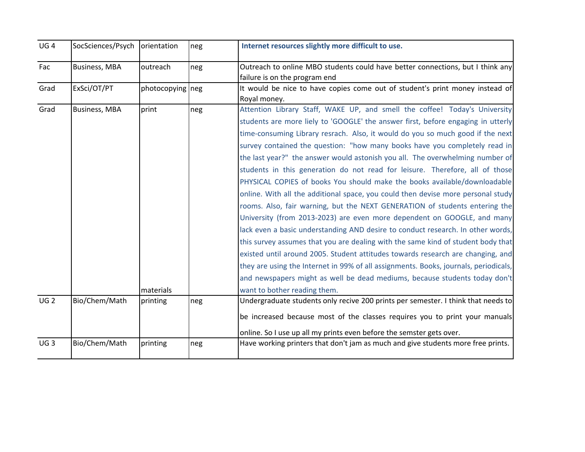| UG <sub>4</sub> | SocSciences/Psych   orientation |                    | neg | Internet resources slightly more difficult to use.                                                                                                                                                                                                                                                                                                                                                                                                                                                                                                                                                                                                                                                                                                                                                                                                                                                                                                                                                                                                                                                                                                                                                                                                                                         |
|-----------------|---------------------------------|--------------------|-----|--------------------------------------------------------------------------------------------------------------------------------------------------------------------------------------------------------------------------------------------------------------------------------------------------------------------------------------------------------------------------------------------------------------------------------------------------------------------------------------------------------------------------------------------------------------------------------------------------------------------------------------------------------------------------------------------------------------------------------------------------------------------------------------------------------------------------------------------------------------------------------------------------------------------------------------------------------------------------------------------------------------------------------------------------------------------------------------------------------------------------------------------------------------------------------------------------------------------------------------------------------------------------------------------|
| Fac             | <b>Business, MBA</b>            | outreach           | neg | Outreach to online MBO students could have better connections, but I think any<br>failure is on the program end                                                                                                                                                                                                                                                                                                                                                                                                                                                                                                                                                                                                                                                                                                                                                                                                                                                                                                                                                                                                                                                                                                                                                                            |
| Grad            | ExSci/OT/PT                     | photocopying neg   |     | It would be nice to have copies come out of student's print money instead of<br>Royal money.                                                                                                                                                                                                                                                                                                                                                                                                                                                                                                                                                                                                                                                                                                                                                                                                                                                                                                                                                                                                                                                                                                                                                                                               |
| Grad            | <b>Business, MBA</b>            | print<br>materials | neg | Attention Library Staff, WAKE UP, and smell the coffee! Today's University<br>students are more liely to 'GOOGLE' the answer first, before engaging in utterly<br>time-consuming Library resrach. Also, it would do you so much good if the next<br>survey contained the question: "how many books have you completely read in<br>the last year?" the answer would astonish you all. The overwhelming number of<br>students in this generation do not read for leisure. Therefore, all of those<br>PHYSICAL COPIES of books You should make the books available/downloadable<br>online. With all the additional space, you could then devise more personal study<br>rooms. Also, fair warning, but the NEXT GENERATION of students entering the<br>University (from 2013-2023) are even more dependent on GOOGLE, and many<br>lack even a basic understanding AND desire to conduct research. In other words,<br>this survey assumes that you are dealing with the same kind of student body that<br>existed until around 2005. Student attitudes towards research are changing, and<br>they are using the Internet in 99% of all assignments. Books, journals, periodicals,<br>and newspapers might as well be dead mediums, because students today don't<br>want to bother reading them. |
| UG <sub>2</sub> | Bio/Chem/Math                   | printing           | neg | Undergraduate students only recive 200 prints per semester. I think that needs to<br>be increased because most of the classes requires you to print your manuals<br>online. So I use up all my prints even before the semster gets over.                                                                                                                                                                                                                                                                                                                                                                                                                                                                                                                                                                                                                                                                                                                                                                                                                                                                                                                                                                                                                                                   |
| UG <sub>3</sub> | Bio/Chem/Math                   | printing           | neg | Have working printers that don't jam as much and give students more free prints.                                                                                                                                                                                                                                                                                                                                                                                                                                                                                                                                                                                                                                                                                                                                                                                                                                                                                                                                                                                                                                                                                                                                                                                                           |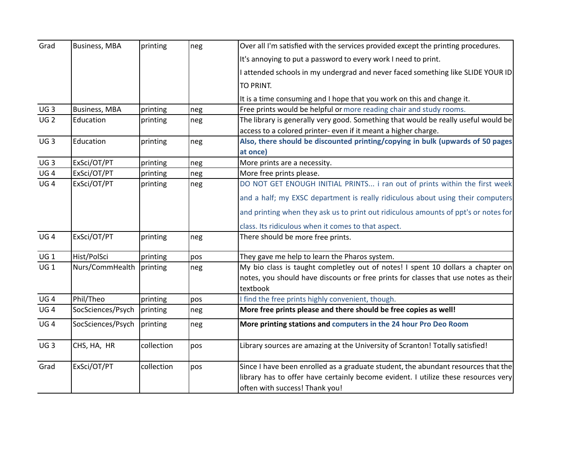| Grad            | <b>Business, MBA</b> | printing   | neg | Over all I'm satisfied with the services provided except the printing procedures.                                    |
|-----------------|----------------------|------------|-----|----------------------------------------------------------------------------------------------------------------------|
|                 |                      |            |     | It's annoying to put a password to every work I need to print.                                                       |
|                 |                      |            |     | I attended schools in my undergrad and never faced something like SLIDE YOUR ID                                      |
|                 |                      |            |     | TO PRINT.                                                                                                            |
|                 |                      |            |     | It is a time consuming and I hope that you work on this and change it.                                               |
| UG <sub>3</sub> | <b>Business, MBA</b> | printing   | neg | Free prints would be helpful or more reading chair and study rooms.                                                  |
| UG <sub>2</sub> | Education            | printing   | neg | The library is generally very good. Something that would be really useful would be                                   |
|                 |                      |            |     | access to a colored printer- even if it meant a higher charge.                                                       |
| UG <sub>3</sub> | Education            | printing   | neg | Also, there should be discounted printing/copying in bulk (upwards of 50 pages                                       |
|                 |                      |            |     | at once)                                                                                                             |
| UG <sub>3</sub> | ExSci/OT/PT          | printing   | neg | More prints are a necessity.                                                                                         |
| UG <sub>4</sub> | ExSci/OT/PT          | printing   | neg | More free prints please.                                                                                             |
| UG <sub>4</sub> | ExSci/OT/PT          | printing   | neg | DO NOT GET ENOUGH INITIAL PRINTS i ran out of prints within the first week                                           |
|                 |                      |            |     | and a half; my EXSC department is really ridiculous about using their computers                                      |
|                 |                      |            |     | and printing when they ask us to print out ridiculous amounts of ppt's or notes for                                  |
|                 |                      |            |     | class. Its ridiculous when it comes to that aspect.                                                                  |
| UG <sub>4</sub> | ExSci/OT/PT          | printing   | neg | There should be more free prints.                                                                                    |
| UG 1            | Hist/PolSci          | printing   | pos | They gave me help to learn the Pharos system.                                                                        |
| $UG_1$          | Nurs/CommHealth      | printing   | neg | My bio class is taught completley out of notes! I spent 10 dollars a chapter on                                      |
|                 |                      |            |     | notes, you should have discounts or free prints for classes that use notes as their<br>textbook                      |
| UG <sub>4</sub> | Phil/Theo            | printing   | pos | I find the free prints highly convenient, though.                                                                    |
| UG <sub>4</sub> | SocSciences/Psych    | printing   | neg | More free prints please and there should be free copies as well!                                                     |
| UG <sub>4</sub> | SocSciences/Psych    | printing   | neg | More printing stations and computers in the 24 hour Pro Deo Room                                                     |
| UG <sub>3</sub> | CHS, HA, HR          | collection | pos | Library sources are amazing at the University of Scranton! Totally satisfied!                                        |
| Grad            | ExSci/OT/PT          | collection | pos | Since I have been enrolled as a graduate student, the abundant resources that the                                    |
|                 |                      |            |     | library has to offer have certainly become evident. I utilize these resources very<br>often with success! Thank you! |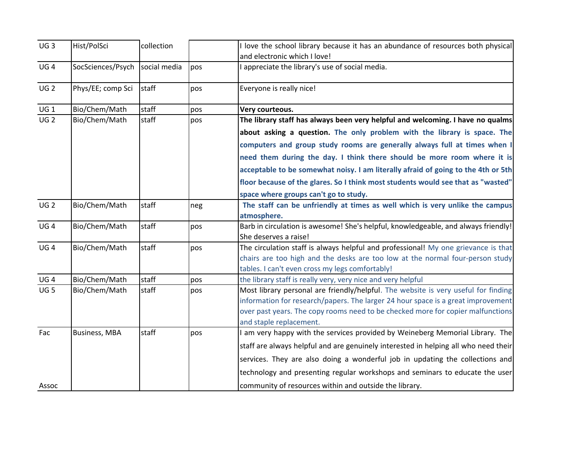| UG <sub>3</sub> | Hist/PolSci                    | collection |     | I love the school library because it has an abundance of resources both physical    |
|-----------------|--------------------------------|------------|-----|-------------------------------------------------------------------------------------|
|                 |                                |            |     | and electronic which I love!                                                        |
| UG <sub>4</sub> | SocSciences/Psych social media |            | pos | I appreciate the library's use of social media.                                     |
| UG <sub>2</sub> | Phys/EE; comp Sci              | staff      | pos | Everyone is really nice!                                                            |
| UG 1            | Bio/Chem/Math                  | staff      | pos | Very courteous.                                                                     |
| UG <sub>2</sub> | Bio/Chem/Math                  | staff      | pos | The library staff has always been very helpful and welcoming. I have no qualms      |
|                 |                                |            |     | about asking a question. The only problem with the library is space. The            |
|                 |                                |            |     | computers and group study rooms are generally always full at times when I           |
|                 |                                |            |     | need them during the day. I think there should be more room where it is             |
|                 |                                |            |     | acceptable to be somewhat noisy. I am literally afraid of going to the 4th or 5th   |
|                 |                                |            |     | floor because of the glares. So I think most students would see that as "wasted"    |
|                 |                                |            |     | space where groups can't go to study.                                               |
| UG <sub>2</sub> | Bio/Chem/Math                  | staff      | neg | The staff can be unfriendly at times as well which is very unlike the campus        |
|                 |                                |            |     | atmosphere.                                                                         |
| UG <sub>4</sub> | Bio/Chem/Math                  | staff      | pos | Barb in circulation is awesome! She's helpful, knowledgeable, and always friendly!  |
|                 |                                |            |     | She deserves a raise!                                                               |
| UG <sub>4</sub> | Bio/Chem/Math                  | staff      | pos | The circulation staff is always helpful and professional! My one grievance is that  |
|                 |                                |            |     | chairs are too high and the desks are too low at the normal four-person study       |
|                 |                                |            |     | tables. I can't even cross my legs comfortably!                                     |
| UG <sub>4</sub> | Bio/Chem/Math                  | staff      | pos | the library staff is really very, very nice and very helpful                        |
| UG <sub>5</sub> | Bio/Chem/Math                  | staff      | pos | Most library personal are friendly/helpful. The website is very useful for finding  |
|                 |                                |            |     | information for research/papers. The larger 24 hour space is a great improvement    |
|                 |                                |            |     | over past years. The copy rooms need to be checked more for copier malfunctions     |
|                 |                                |            |     | and staple replacement.                                                             |
| Fac             | <b>Business, MBA</b>           | staff      | pos | I am very happy with the services provided by Weineberg Memorial Library. The       |
|                 |                                |            |     | staff are always helpful and are genuinely interested in helping all who need their |
|                 |                                |            |     | services. They are also doing a wonderful job in updating the collections and       |
|                 |                                |            |     | technology and presenting regular workshops and seminars to educate the user        |
| Assoc           |                                |            |     | community of resources within and outside the library.                              |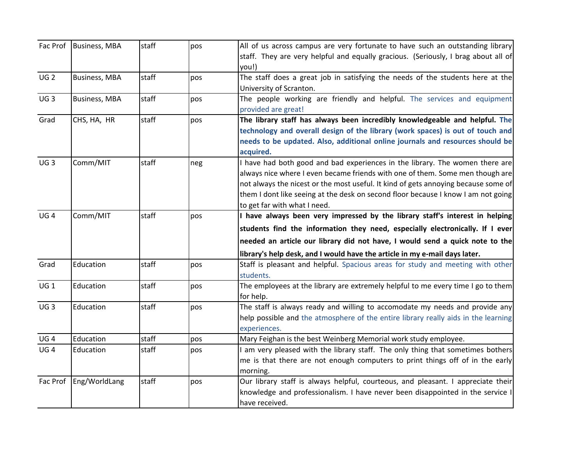|                 | Fac Prof Business, MBA | staff | pos | All of us across campus are very fortunate to have such an outstanding library              |
|-----------------|------------------------|-------|-----|---------------------------------------------------------------------------------------------|
|                 |                        |       |     | staff. They are very helpful and equally gracious. (Seriously, I brag about all of<br>you!) |
| UG <sub>2</sub> | <b>Business, MBA</b>   | staff | pos | The staff does a great job in satisfying the needs of the students here at the              |
|                 |                        |       |     | University of Scranton.                                                                     |
| UG3             | <b>Business, MBA</b>   | staff | pos | The people working are friendly and helpful. The services and equipment                     |
|                 |                        |       |     | provided are great!                                                                         |
| Grad            | CHS, HA, HR            | staff | pos | The library staff has always been incredibly knowledgeable and helpful. The                 |
|                 |                        |       |     | technology and overall design of the library (work spaces) is out of touch and              |
|                 |                        |       |     | needs to be updated. Also, additional online journals and resources should be               |
|                 |                        |       |     | acquired.                                                                                   |
| UG <sub>3</sub> | Comm/MIT               | staff | neg | I have had both good and bad experiences in the library. The women there are                |
|                 |                        |       |     | always nice where I even became friends with one of them. Some men though are               |
|                 |                        |       |     | not always the nicest or the most useful. It kind of gets annoying because some of          |
|                 |                        |       |     | them I dont like seeing at the desk on second floor because I know I am not going           |
|                 |                        |       |     | to get far with what I need.                                                                |
| UG <sub>4</sub> | Comm/MIT               | staff | pos | I have always been very impressed by the library staff's interest in helping                |
|                 |                        |       |     | students find the information they need, especially electronically. If I ever               |
|                 |                        |       |     | needed an article our library did not have, I would send a quick note to the                |
|                 |                        |       |     | library's help desk, and I would have the article in my e-mail days later.                  |
| Grad            | Education              | staff | pos | Staff is pleasant and helpful. Spacious areas for study and meeting with other              |
|                 |                        |       |     | students.                                                                                   |
| UG <sub>1</sub> | Education              | staff | pos | The employees at the library are extremely helpful to me every time I go to them            |
|                 |                        |       |     | for help.                                                                                   |
| UG <sub>3</sub> | Education              | staff | pos | The staff is always ready and willing to accomodate my needs and provide any                |
|                 |                        |       |     | help possible and the atmosphere of the entire library really aids in the learning          |
|                 |                        |       |     | experiences.                                                                                |
| UG4             | Education              | staff | pos | Mary Feighan is the best Weinberg Memorial work study employee.                             |
| UG <sub>4</sub> | Education              | staff | pos | I am very pleased with the library staff. The only thing that sometimes bothers             |
|                 |                        |       |     | me is that there are not enough computers to print things off of in the early               |
|                 |                        |       |     | morning.                                                                                    |
| Fac Prof        | Eng/WorldLang          | staff | pos | Our library staff is always helpful, courteous, and pleasant. I appreciate their            |
|                 |                        |       |     | knowledge and professionalism. I have never been disappointed in the service I              |
|                 |                        |       |     | have received.                                                                              |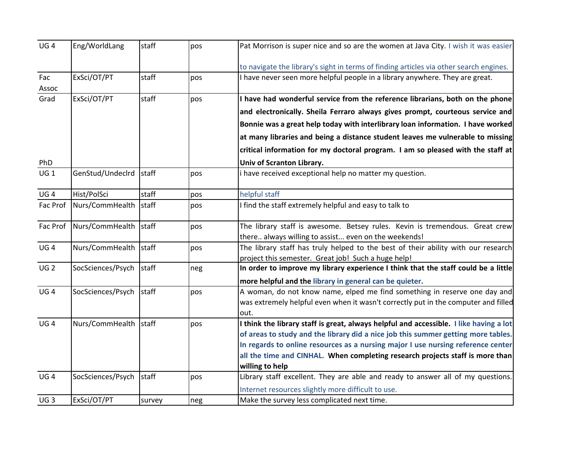| UG <sub>4</sub> | Eng/WorldLang           | staff  | pos | Pat Morrison is super nice and so are the women at Java City. I wish it was easier                                                        |
|-----------------|-------------------------|--------|-----|-------------------------------------------------------------------------------------------------------------------------------------------|
|                 |                         |        |     | to navigate the library's sight in terms of finding articles via other search engines.                                                    |
| Fac<br>Assoc    | ExSci/OT/PT             | staff  | pos | I have never seen more helpful people in a library anywhere. They are great.                                                              |
| Grad            | ExSci/OT/PT             | staff  | pos | I have had wonderful service from the reference librarians, both on the phone                                                             |
|                 |                         |        |     | and electronically. Sheila Ferraro always gives prompt, courteous service and                                                             |
|                 |                         |        |     | Bonnie was a great help today with interlibrary loan information. I have worked                                                           |
|                 |                         |        |     | at many libraries and being a distance student leaves me vulnerable to missing                                                            |
|                 |                         |        |     | critical information for my doctoral program. I am so pleased with the staff at                                                           |
| PhD             |                         |        |     | Univ of Scranton Library.                                                                                                                 |
| $UG_1$          | GenStud/Undeclrd staff  |        | pos | i have received exceptional help no matter my question.                                                                                   |
| UG <sub>4</sub> | Hist/PolSci             | staff  | pos | helpful staff                                                                                                                             |
| Fac Prof        | Nurs/CommHealth         | staff  | pos | I find the staff extremely helpful and easy to talk to                                                                                    |
| Fac Prof        | Nurs/CommHealth staff   |        | pos | The library staff is awesome. Betsey rules. Kevin is tremendous. Great crew                                                               |
|                 |                         |        |     | there always willing to assist even on the weekends!                                                                                      |
| UG <sub>4</sub> | Nurs/CommHealth staff   |        | pos | The library staff has truly helped to the best of their ability with our research                                                         |
| UG <sub>2</sub> | SocSciences/Psych staff |        |     | project this semester. Great job! Such a huge help!<br>In order to improve my library experience I think that the staff could be a little |
|                 |                         |        | neg |                                                                                                                                           |
|                 |                         |        |     | more helpful and the library in general can be quieter.                                                                                   |
| UG <sub>4</sub> | SocSciences/Psych staff |        | pos | A woman, do not know name, elped me find something in reserve one day and                                                                 |
|                 |                         |        |     | was extremely helpful even when it wasn't correctly put in the computer and filled<br>out.                                                |
| UG <sub>4</sub> | Nurs/CommHealth staff   |        | pos | I think the library staff is great, always helpful and accessible. I like having a lot                                                    |
|                 |                         |        |     | of areas to study and the library did a nice job this summer getting more tables.                                                         |
|                 |                         |        |     | In regards to online resources as a nursing major I use nursing reference center                                                          |
|                 |                         |        |     | all the time and CINHAL. When completing research projects staff is more than                                                             |
|                 |                         |        |     | willing to help                                                                                                                           |
| UG <sub>4</sub> | SocSciences/Psych staff |        | pos | Library staff excellent. They are able and ready to answer all of my questions.                                                           |
|                 |                         |        |     | Internet resources slightly more difficult to use.                                                                                        |
| UG <sub>3</sub> | ExSci/OT/PT             | survey | neg | Make the survey less complicated next time.                                                                                               |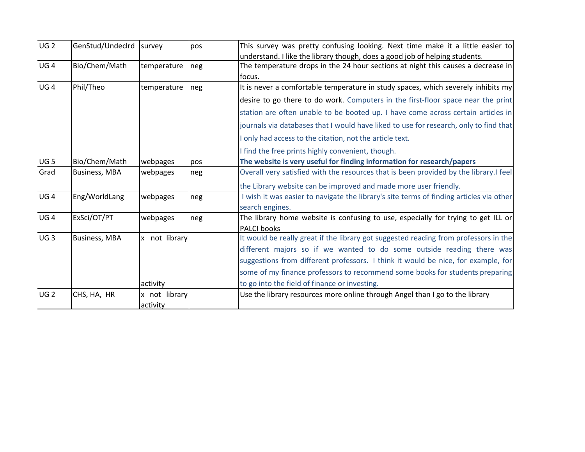| UG <sub>2</sub> | GenStud/Undeclrd survey |               | pos | This survey was pretty confusing looking. Next time make it a little easier to          |
|-----------------|-------------------------|---------------|-----|-----------------------------------------------------------------------------------------|
|                 |                         |               |     | understand. I like the library though, does a good job of helping students.             |
| UG <sub>4</sub> | Bio/Chem/Math           | temperature   | neg | The temperature drops in the 24 hour sections at night this causes a decrease in        |
|                 |                         |               |     | focus.                                                                                  |
| UG <sub>4</sub> | Phil/Theo               | temperature   | neg | It is never a comfortable temperature in study spaces, which severely inhibits my       |
|                 |                         |               |     | desire to go there to do work. Computers in the first-floor space near the print        |
|                 |                         |               |     | station are often unable to be booted up. I have come across certain articles in        |
|                 |                         |               |     | journals via databases that I would have liked to use for research, only to find that   |
|                 |                         |               |     | I only had access to the citation, not the article text.                                |
|                 |                         |               |     | I find the free prints highly convenient, though.                                       |
| UG <sub>5</sub> | Bio/Chem/Math           | webpages      | pos | The website is very useful for finding information for research/papers                  |
| Grad            | <b>Business, MBA</b>    | webpages      | neg | Overall very satisfied with the resources that is been provided by the library.I feel   |
|                 |                         |               |     | the Library website can be improved and made more user friendly.                        |
| UG4             | Eng/WorldLang           | webpages      | neg | I wish it was easier to navigate the library's site terms of finding articles via other |
|                 |                         |               |     | search engines.                                                                         |
| UG <sub>4</sub> | ExSci/OT/PT             | webpages      | neg | The library home website is confusing to use, especially for trying to get ILL or       |
|                 |                         |               |     | <b>PALCI books</b>                                                                      |
| UG3             | <b>Business, MBA</b>    | x not library |     | It would be really great if the library got suggested reading from professors in the    |
|                 |                         |               |     | different majors so if we wanted to do some outside reading there was                   |
|                 |                         |               |     | suggestions from different professors. I think it would be nice, for example, for       |
|                 |                         |               |     | some of my finance professors to recommend some books for students preparing            |
|                 |                         | activity      |     | to go into the field of finance or investing.                                           |
| UG <sub>2</sub> | CHS, HA, HR             | x not library |     | Use the library resources more online through Angel than I go to the library            |
|                 |                         | activity      |     |                                                                                         |